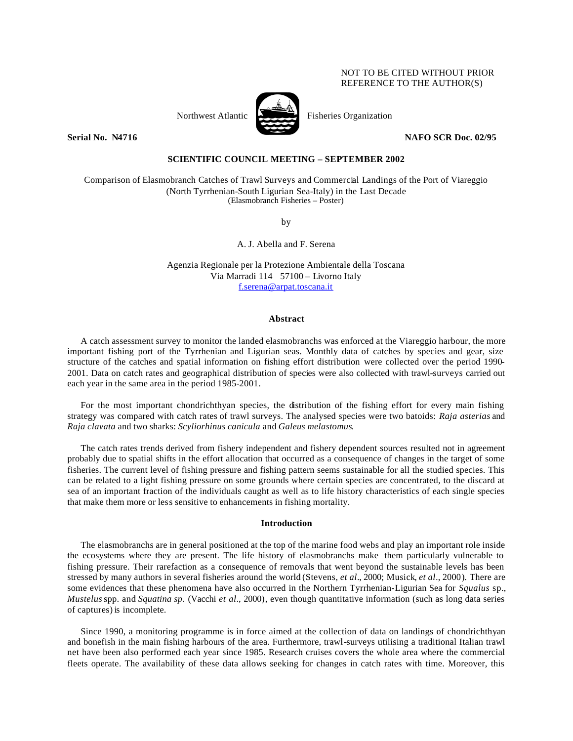## NOT TO BE CITED WITHOUT PRIOR REFERENCE TO THE AUTHOR(S)



Northwest Atlantic Fisheries Organization

**Serial No. N4716** NAFO SCR Doc. 02/95

# **SCIENTIFIC COUNCIL MEETING – SEPTEMBER 2002**

Comparison of Elasmobranch Catches of Trawl Surveys and Commercial Landings of the Port of Viareggio (North Tyrrhenian-South Ligurian Sea-Italy) in the Last Decade (Elasmobranch Fisheries – Poster)

by

A. J. Abella and F. Serena

Agenzia Regionale per la Protezione Ambientale della Toscana Via Marradi 114 57100 – Livorno Italy f.serena@arpat.toscana.it

## **Abstract**

A catch assessment survey to monitor the landed elasmobranchs was enforced at the Viareggio harbour, the more important fishing port of the Tyrrhenian and Ligurian seas. Monthly data of catches by species and gear, size structure of the catches and spatial information on fishing effort distribution were collected over the period 1990- 2001. Data on catch rates and geographical distribution of species were also collected with trawl-surveys carried out each year in the same area in the period 1985-2001.

For the most important chondrichthyan species, the distribution of the fishing effort for every main fishing strategy was compared with catch rates of trawl surveys. The analysed species were two batoids: *Raja asterias* and *Raja clavata* and two sharks: *Scyliorhinus canicula* and *Galeus melastomus*.

The catch rates trends derived from fishery independent and fishery dependent sources resulted not in agreement probably due to spatial shifts in the effort allocation that occurred as a consequence of changes in the target of some fisheries. The current level of fishing pressure and fishing pattern seems sustainable for all the studied species. This can be related to a light fishing pressure on some grounds where certain species are concentrated, to the discard at sea of an important fraction of the individuals caught as well as to life history characteristics of each single species that make them more or less sensitive to enhancements in fishing mortality.

## **Introduction**

The elasmobranchs are in general positioned at the top of the marine food webs and play an important role inside the ecosystems where they are present. The life history of elasmobranchs make them particularly vulnerable to fishing pressure. Their rarefaction as a consequence of removals that went beyond the sustainable levels has been stressed by many authors in several fisheries around the world (Stevens, *et al*., 2000; Musick, *et al*., 2000). There are some evidences that these phenomena have also occurred in the Northern Tyrrhenian-Ligurian Sea for *Squalus* sp*.*, *Mustelus* spp. and *Squatina sp.* (Vacchi *et al*., 2000), even though quantitative information (such as long data series of captures) is incomplete.

Since 1990, a monitoring programme is in force aimed at the collection of data on landings of chondrichthyan and bonefish in the main fishing harbours of the area. Furthermore, trawl-surveys utilising a traditional Italian trawl net have been also performed each year since 1985. Research cruises covers the whole area where the commercial fleets operate. The availability of these data allows seeking for changes in catch rates with time. Moreover, this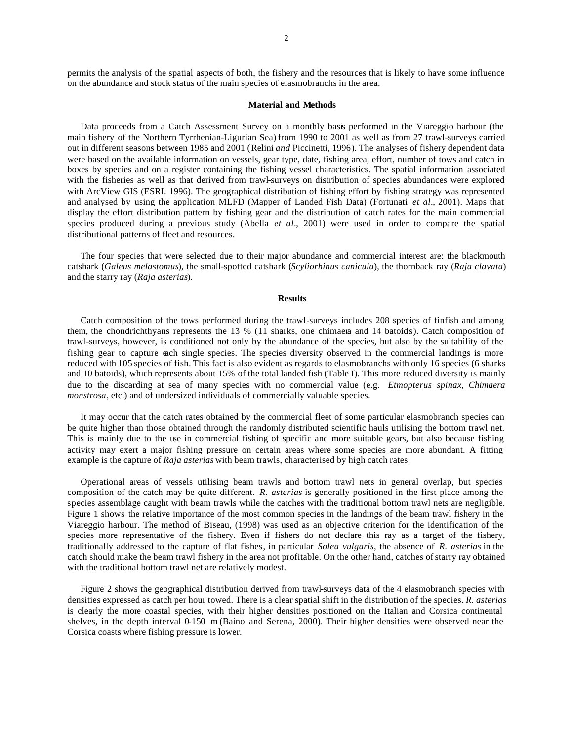permits the analysis of the spatial aspects of both, the fishery and the resources that is likely to have some influence on the abundance and stock status of the main species of elasmobranchs in the area.

#### **Material and Methods**

Data proceeds from a Catch Assessment Survey on a monthly basis performed in the Viareggio harbour (the main fishery of the Northern Tyrrhenian-Ligurian Sea) from 1990 to 2001 as well as from 27 trawl-surveys carried out in different seasons between 1985 and 2001 (Relini *and* Piccinetti, 1996). The analyses of fishery dependent data were based on the available information on vessels, gear type, date, fishing area, effort, number of tows and catch in boxes by species and on a register containing the fishing vessel characteristics. The spatial information associated with the fisheries as well as that derived from trawl-surveys on distribution of species abundances were explored with ArcView GIS (ESRI. 1996). The geographical distribution of fishing effort by fishing strategy was represented and analysed by using the application MLFD (Mapper of Landed Fish Data) (Fortunati *et al*., 2001). Maps that display the effort distribution pattern by fishing gear and the distribution of catch rates for the main commercial species produced during a previous study (Abella *et al*., 2001) were used in order to compare the spatial distributional patterns of fleet and resources.

The four species that were selected due to their major abundance and commercial interest are: the blackmouth catshark (*Galeus melastomus*), the small-spotted catshark (*Scyliorhinus canicula*), the thornback ray (*Raja clavata*) and the starry ray (*Raja asterias*).

### **Results**

Catch composition of the tows performed during the trawl-surveys includes 208 species of finfish and among them, the chondrichthyans represents the 13 % (11 sharks, one chimaera and 14 batoids). Catch composition of trawl-surveys, however, is conditioned not only by the abundance of the species, but also by the suitability of the fishing gear to capture each single species. The species diversity observed in the commercial landings is more reduced with 105 species of fish. This fact is also evident as regards to elasmobranchs with only 16 species (6 sharks and 10 batoids), which represents about 15% of the total landed fish (Table I). This more reduced diversity is mainly due to the discarding at sea of many species with no commercial value (e.g. *Etmopterus spinax*, *Chimaera monstrosa*, etc.) and of undersized individuals of commercially valuable species.

It may occur that the catch rates obtained by the commercial fleet of some particular elasmobranch species can be quite higher than those obtained through the randomly distributed scientific hauls utilising the bottom trawl net. This is mainly due to the use in commercial fishing of specific and more suitable gears, but also because fishing activity may exert a major fishing pressure on certain areas where some species are more abundant. A fitting example is the capture of *Raja asterias* with beam trawls, characterised by high catch rates.

Operational areas of vessels utilising beam trawls and bottom trawl nets in general overlap, but species composition of the catch may be quite different. *R. asterias* is generally positioned in the first place among the species assemblage caught with beam trawls while the catches with the traditional bottom trawl nets are negligible. Figure 1 shows the relative importance of the most common species in the landings of the beam trawl fishery in the Viareggio harbour. The method of Biseau, (1998) was used as an objective criterion for the identification of the species more representative of the fishery. Even if fishers do not declare this ray as a target of the fishery, traditionally addressed to the capture of flat fishes, in particular *Solea vulgaris*, the absence of *R. asterias* in the catch should make the beam trawl fishery in the area not profitable. On the other hand, catches ofstarry ray obtained with the traditional bottom trawl net are relatively modest.

Figure 2 shows the geographical distribution derived from trawl-surveys data of the 4 elasmobranch species with densities expressed as catch per hour towed. There is a clear spatial shift in the distribution of the species. *R. asterias* is clearly the more coastal species, with their higher densities positioned on the Italian and Corsica continental shelves, in the depth interval 0-150 m (Baino and Serena, 2000). Their higher densities were observed near the Corsica coasts where fishing pressure is lower.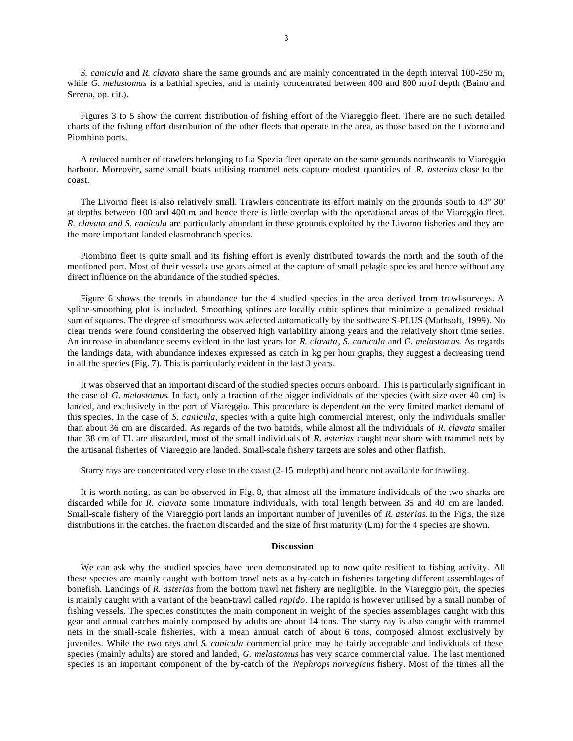*S. canicula* and *R. clavata* share the same grounds and are mainly concentrated in the depth interval 100-250 m, while *G. melastomus* is a bathial species, and is mainly concentrated between 400 and 800 m of depth (Baino and Serena, op. cit.).

Figures 3 to 5 show the current distribution of fishing effort of the Viareggio fleet. There are no such detailed charts of the fishing effort distribution of the other fleets that operate in the area, as those based on the Livorno and Piombino ports.

A reduced numb er of trawlers belonging to La Spezia fleet operate on the same grounds northwards to Viareggio harbour. Moreover, same small boats utilising trammel nets capture modest quantities of *R. asterias* close to the coast.

The Livorno fleet is also relatively small. Trawlers concentrate its effort mainly on the grounds south to 43° 30' at depths between 100 and 400 m and hence there is little overlap with the operational areas of the Viareggio fleet. *R. clavata and S. canicula* are particularly abundant in these grounds exploited by the Livorno fisheries and they are the more important landed elasmobranch species.

Piombino fleet is quite small and its fishing effort is evenly distributed towards the north and the south of the mentioned port. Most of their vessels use gears aimed at the capture of small pelagic species and hence without any direct influence on the abundance of the studied species.

Figure 6 shows the trends in abundance for the 4 studied species in the area derived from trawl-surveys. A spline-smoothing plot is included. Smoothing splines are locally cubic splines that minimize a penalized residual sum of squares. The degree of smoothness was selected automatically by the software S-PLUS (Mathsoft, 1999). No clear trends were found considering the observed high variability among years and the relatively short time series. An increase in abundance seems evident in the last years for *R. clavata*, *S. canicula* and *G. melastomus.* As regards the landings data, with abundance indexes expressed as catch in kg per hour graphs, they suggest a decreasing trend in all the species (Fig. 7). This is particularly evident in the last 3 years.

It was observed that an important discard of the studied species occurs onboard. This is particularly significant in the case of *G. melastomus*. In fact, only a fraction of the bigger individuals of the species (with size over 40 cm) is landed, and exclusively in the port of Viareggio. This procedure is dependent on the very limited market demand of this species. In the case of *S. canicula*, species with a quite high commercial interest, only the individuals smaller than about 36 cm are discarded. As regards of the two batoids, while almost all the individuals of *R. clavata* smaller than 38 cm of TL are discarded, most of the small individuals of *R. asterias* caught near shore with trammel nets by the artisanal fisheries of Viareggio are landed. Small-scale fishery targets are soles and other flatfish.

Starry rays are concentrated very close to the coast (2-15 m depth) and hence not available for trawling.

It is worth noting, as can be observed in Fig. 8, that almost all the immature individuals of the two sharks are discarded while for *R. clavata* some immature individuals, with total length between 35 and 40 cm are landed. Small-scale fishery of the Viareggio port lands an important number of juveniles of *R. asterias*. In the Fig.s, the size distributions in the catches, the fraction discarded and the size of first maturity (Lm) for the 4 species are shown.

## **Discussion**

We can ask why the studied species have been demonstrated up to now quite resilient to fishing activity. All these species are mainly caught with bottom trawl nets as a by-catch in fisheries targeting different assemblages of bonefish. Landings of *R. asterias* from the bottom trawl net fishery are negligible. In the Viareggio port, the species is mainly caught with a variant of the beam-trawl called *rapido*. The rapido is however utilised by a small number of fishing vessels. The species constitutes the main component in weight of the species assemblages caught with this gear and annual catches mainly composed by adults are about 14 tons. The starry ray is also caught with trammel nets in the small-scale fisheries, with a mean annual catch of about 6 tons, composed almost exclusively by juveniles. While the two rays and *S. canicula* commercial price may be fairly acceptable and individuals of these species (mainly adults) are stored and landed, *G. melastomus* has very scarce commercial value. The last mentioned species is an important component of the by-catch of the *Nephrops norvegicus* fishery. Most of the times all the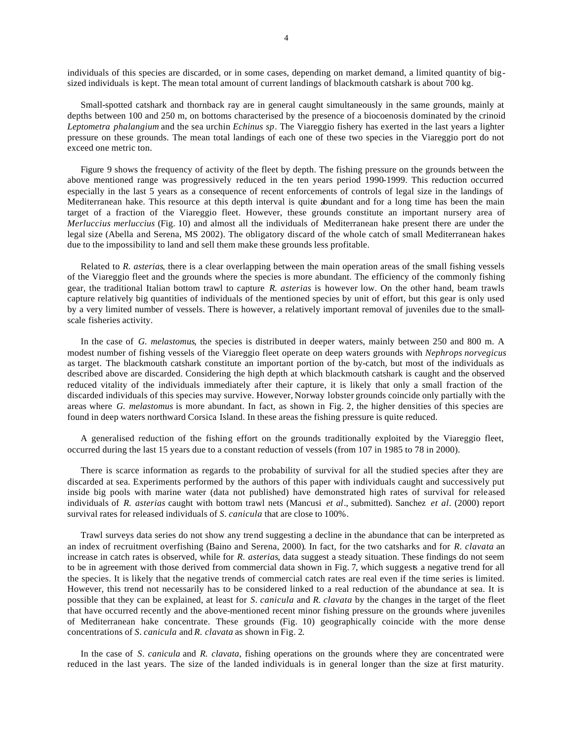individuals of this species are discarded, or in some cases, depending on market demand, a limited quantity of bigsized individuals is kept. The mean total amount of current landings of blackmouth catshark is about 700 kg.

Small-spotted catshark and thornback ray are in general caught simultaneously in the same grounds, mainly at depths between 100 and 250 m, on bottoms characterised by the presence of a biocoenosis dominated by the crinoid *Leptometra phalangium* and the sea urchin *Echinus sp.* The Viareggio fishery has exerted in the last years a lighter pressure on these grounds. The mean total landings of each one of these two species in the Viareggio port do not exceed one metric ton.

Figure 9 shows the frequency of activity of the fleet by depth. The fishing pressure on the grounds between the above mentioned range was progressively reduced in the ten years period 1990-1999. This reduction occurred especially in the last 5 years as a consequence of recent enforcements of controls of legal size in the landings of Mediterranean hake. This resource at this depth interval is quite abundant and for a long time has been the main target of a fraction of the Viareggio fleet. However, these grounds constitute an important nursery area of *Merluccius merluccius* (Fig. 10) and almost all the individuals of Mediterranean hake present there are under the legal size (Abella and Serena, MS 2002). The obligatory discard of the whole catch of small Mediterranean hakes due to the impossibility to land and sell them make these grounds less profitable.

Related to *R. asterias*, there is a clear overlapping between the main operation areas of the small fishing vessels of the Viareggio fleet and the grounds where the species is more abundant. The efficiency of the commonly fishing gear, the traditional Italian bottom trawl to capture *R. asterias* is however low. On the other hand, beam trawls capture relatively big quantities of individuals of the mentioned species by unit of effort, but this gear is only used by a very limited number of vessels. There is however, a relatively important removal of juveniles due to the smallscale fisheries activity.

In the case of *G. melastomus*, the species is distributed in deeper waters, mainly between 250 and 800 m. A modest number of fishing vessels of the Viareggio fleet operate on deep waters grounds with *Nephrops norvegicus* as target. The blackmouth catshark constitute an important portion of the by-catch, but most of the individuals as described above are discarded. Considering the high depth at which blackmouth catshark is caught and the observed reduced vitality of the individuals immediately after their capture, it is likely that only a small fraction of the discarded individuals of this species may survive. However, Norway lobster grounds coincide only partially with the areas where *G. melastomus* is more abundant. In fact, as shown in Fig. 2, the higher densities of this species are found in deep waters northward Corsica Island. In these areas the fishing pressure is quite reduced.

A generalised reduction of the fishing effort on the grounds traditionally exploited by the Viareggio fleet, occurred during the last 15 years due to a constant reduction of vessels (from 107 in 1985 to 78 in 2000).

There is scarce information as regards to the probability of survival for all the studied species after they are discarded at sea. Experiments performed by the authors of this paper with individuals caught and successively put inside big pools with marine water (data not published) have demonstrated high rates of survival for released individuals of *R. asterias* caught with bottom trawl nets (Mancusi *et al*., submitted). Sanchez *et al*. (2000) report survival rates for released individuals of *S. canicula* that are close to 100%.

Trawl surveys data series do not show any trend suggesting a decline in the abundance that can be interpreted as an index of recruitment overfishing (Baino and Serena, 2000). In fact, for the two catsharks and for *R. clavata* an increase in catch rates is observed, while for *R. asterias*, data suggest a steady situation. These findings do not seem to be in agreement with those derived from commercial data shown in Fig. 7, which suggests a negative trend for all the species. It is likely that the negative trends of commercial catch rates are real even if the time series is limited. However, this trend not necessarily has to be considered linked to a real reduction of the abundance at sea. It is possible that they can be explained, at least for *S. canicula* and *R. clavata* by the changes in the target of the fleet that have occurred recently and the above-mentioned recent minor fishing pressure on the grounds where juveniles of Mediterranean hake concentrate. These grounds (Fig. 10) geographically coincide with the more dense concentrations of *S. canicula* and *R. clavata* as shown in Fig. 2.

In the case of *S. canicula* and *R. clavata*, fishing operations on the grounds where they are concentrated were reduced in the last years. The size of the landed individuals is in general longer than the size at first maturity.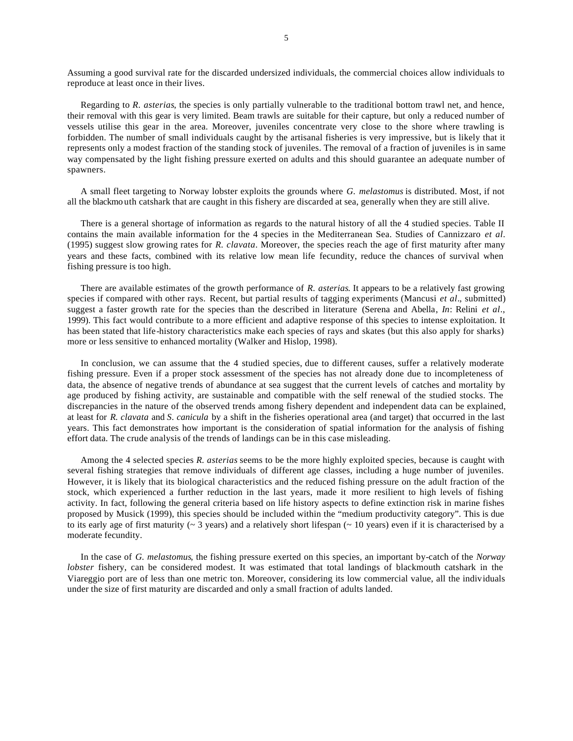Assuming a good survival rate for the discarded undersized individuals, the commercial choices allow individuals to reproduce at least once in their lives.

Regarding to *R. asterias*, the species is only partially vulnerable to the traditional bottom trawl net, and hence, their removal with this gear is very limited. Beam trawls are suitable for their capture, but only a reduced number of vessels utilise this gear in the area. Moreover, juveniles concentrate very close to the shore where trawling is forbidden. The number of small individuals caught by the artisanal fisheries is very impressive, but is likely that it represents only a modest fraction of the standing stock of juveniles. The removal of a fraction of juveniles is in same way compensated by the light fishing pressure exerted on adults and this should guarantee an adequate number of spawners.

A small fleet targeting to Norway lobster exploits the grounds where *G. melastomus* is distributed. Most, if not all the blackmo uth catshark that are caught in this fishery are discarded at sea, generally when they are still alive.

There is a general shortage of information as regards to the natural history of all the 4 studied species. Table II contains the main available information for the 4 species in the Mediterranean Sea. Studies of Cannizzaro *et al*. (1995) suggest slow growing rates for *R. clavata*. Moreover, the species reach the age of first maturity after many years and these facts, combined with its relative low mean life fecundity, reduce the chances of survival when fishing pressure is too high.

There are available estimates of the growth performance of *R. asterias*. It appears to be a relatively fast growing species if compared with other rays. Recent, but partial results of tagging experiments (Mancusi *et al*., submitted) suggest a faster growth rate for the species than the described in literature (Serena and Abella, *In*: Relini *et al*., 1999). This fact would contribute to a more efficient and adaptive response of this species to intense exploitation. It has been stated that life-history characteristics make each species of rays and skates (but this also apply for sharks) more or less sensitive to enhanced mortality (Walker and Hislop, 1998).

In conclusion, we can assume that the 4 studied species, due to different causes, suffer a relatively moderate fishing pressure. Even if a proper stock assessment of the species has not already done due to incompleteness of data, the absence of negative trends of abundance at sea suggest that the current levels of catches and mortality by age produced by fishing activity, are sustainable and compatible with the self renewal of the studied stocks. The discrepancies in the nature of the observed trends among fishery dependent and independent data can be explained, at least for *R. clavata* and *S. canicula* by a shift in the fisheries operational area (and target) that occurred in the last years. This fact demonstrates how important is the consideration of spatial information for the analysis of fishing effort data. The crude analysis of the trends of landings can be in this case misleading.

Among the 4 selected species *R. asterias* seems to be the more highly exploited species, because is caught with several fishing strategies that remove individuals of different age classes, including a huge number of juveniles. However, it is likely that its biological characteristics and the reduced fishing pressure on the adult fraction of the stock, which experienced a further reduction in the last years, made it more resilient to high levels of fishing activity. In fact, following the general criteria based on life history aspects to define extinction risk in marine fishes proposed by Musick (1999), this species should be included within the "medium productivity category". This is due to its early age of first maturity ( $\sim 3$  years) and a relatively short lifespan ( $\sim 10$  years) even if it is characterised by a moderate fecundity.

In the case of *G. melastomus*, the fishing pressure exerted on this species, an important by-catch of the *Norway lobster* fishery, can be considered modest. It was estimated that total landings of blackmouth catshark in the Viareggio port are of less than one metric ton. Moreover, considering its low commercial value, all the individuals under the size of first maturity are discarded and only a small fraction of adults landed.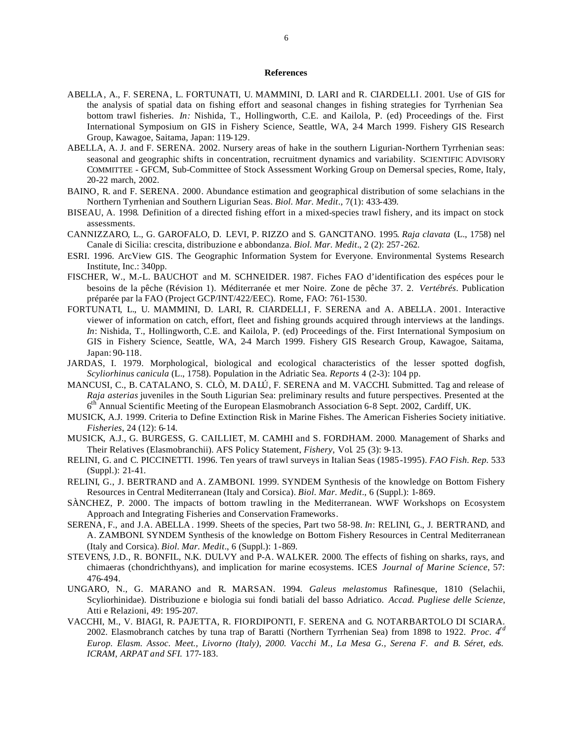## **References**

- ABELLA, A., F. SERENA, L. FORTUNATI, U. MAMMINI, D. LARI and R. CIARDELLI. 2001. Use of GIS for the analysis of spatial data on fishing effort and seasonal changes in fishing strategies for Tyrrhenian Sea bottom trawl fisheries. *In:* Nishida, T., Hollingworth, C.E. and Kailola, P. (ed) Proceedings of the. First International Symposium on GIS in Fishery Science, Seattle, WA, 2-4 March 1999. Fishery GIS Research Group, Kawagoe, Saitama, Japan: 119-129.
- ABELLA, A. J. and F. SERENA. 2002. Nursery areas of hake in the southern Ligurian-Northern Tyrrhenian seas: seasonal and geographic shifts in concentration, recruitment dynamics and variability. SCIENTIFIC ADVISORY COMMITTEE - GFCM, Sub-Committee of Stock Assessment Working Group on Demersal species, Rome, Italy, 20-22 march, 2002.
- BAINO, R. and F. SERENA. 2000. Abundance estimation and geographical distribution of some selachians in the Northern Tyrrhenian and Southern Ligurian Seas. *Biol. Mar. Medit*., 7(1): 433-439.
- BISEAU, A. 1998. Definition of a directed fishing effort in a mixed-species trawl fishery, and its impact on stock assessments.
- CANNIZZARO, L., G. GAROFALO, D. LEVI, P. RIZZO and S. GANCITANO. 1995. *Raja clavata* (L., 1758) nel Canale di Sicilia: crescita, distribuzione e abbondanza. *Biol. Mar. Medit*., 2 (2): 257-262.
- ESRI. 1996. ArcView GIS. The Geographic Information System for Everyone. Environmental Systems Research Institute, Inc.: 340pp.
- FISCHER, W., M.-L. BAUCHOT and M. SCHNEIDER. 1987. Fiches FAO d'identification des espéces pour le besoins de la pêche (Révision 1). Méditerranée et mer Noire. Zone de pêche 37. 2. *Vertébrés*. Publication préparée par la FAO (Project GCP/INT/422/EEC). Rome, FAO: 761-1530.
- FORTUNATI, L., U. MAMMINI, D. LARI, R. CIARDELLI, F. SERENA and A. ABELLA. 2001. Interactive viewer of information on catch, effort, fleet and fishing grounds acquired through interviews at the landings. *In*: Nishida, T., Hollingworth, C.E. and Kailola, P. (ed) Proceedings of the. First International Symposium on GIS in Fishery Science, Seattle, WA, 2-4 March 1999. Fishery GIS Research Group, Kawagoe, Saitama, Japan: 90-118.
- JARDAS, I. 1979. Morphological, biological and ecological characteristics of the lesser spotted dogfish, *Scyliorhinus canicula* (L., 1758). Population in the Adriatic Sea. *Reports* 4 (2-3): 104 pp.
- MANCUSI, C., B. CATALANO, S. CLÒ, M. DALÚ, F. SERENA and M. VACCHI. Submitted. Tag and release of *Raja asterias* juveniles in the South Ligurian Sea: preliminary results and future perspectives. Presented at the 6<sup>th</sup> Annual Scientific Meeting of the European Elasmobranch Association 6-8 Sept. 2002, Cardiff, UK.
- MUSICK, A.J. 1999. Criteria to Define Extinction Risk in Marine Fishes. The American Fisheries Society initiative. *Fisheries*, 24 (12): 6-14.
- MUSICK, A.J., G. BURGESS, G. CAILLIET, M. CAMHI and S. FORDHAM. 2000. Management of Sharks and Their Relatives (Elasmobranchii). AFS Policy Statement, *Fishery*, Vol. 25 (3): 9-13.
- RELINI, G. and C. PICCINETTI. 1996. Ten years of trawl surveys in Italian Seas (1985-1995). *FAO Fish. Rep.* 533 (Suppl.): 21-41.
- RELINI, G., J. BERTRAND and A. ZAMBONI. 1999. SYNDEM Synthesis of the knowledge on Bottom Fishery Resources in Central Mediterranean (Italy and Corsica). *Biol. Mar. Medit*., 6 (Suppl.): 1-869.
- SÀNCHEZ, P. 2000. The impacts of bottom trawling in the Mediterranean. WWF Workshops on Ecosystem Approach and Integrating Fisheries and Conservation Frameworks.
- SERENA, F., and J.A. ABELLA. 1999. Sheets of the species, Part two 58-98. *In*: RELINI, G., J. BERTRAND, and A. ZAMBONI. SYNDEM Synthesis of the knowledge on Bottom Fishery Resources in Central Mediterranean (Italy and Corsica). *Biol. Mar. Medit*., 6 (Suppl.): 1-869.
- STEVENS, J.D., R. BONFIL, N.K. DULVY and P-A. WALKER. 2000. The effects of fishing on sharks, rays, and chimaeras (chondrichthyans), and implication for marine ecosystems. ICES *Journal of Marine Science*, 57: 476-494.
- UNGARO, N., G. MARANO and R. MARSAN. 1994. *Galeus melastomus* Rafinesque, 1810 (Selachii, Scyliorhinidae). Distribuzione e biologia sui fondi batiali del basso Adriatico. *Accad. Pugliese delle Scienze*, Atti e Relazioni, 49: 195-207.
- VACCHI, M., V. BIAGI, R. PAJETTA, R. FIORDIPONTI, F. SERENA and G. NOTARBARTOLO DI SCIARA. 2002. Elasmobranch catches by tuna trap of Baratti (Northern Tyrrhenian Sea) from 1898 to 1922. *Proc. 4rd Europ. Elasm. Assoc. Meet., Livorno (Italy), 2000. Vacchi M., La Mesa G., Serena F. and B. Séret, eds. ICRAM, ARPAT and SFI.* 177-183.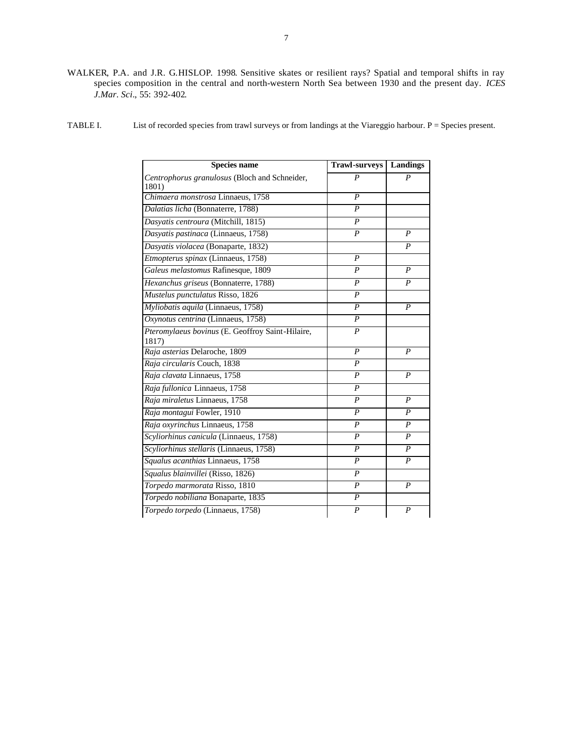- WALKER, P.A. and J.R. G.HISLOP. 1998. Sensitive skates or resilient rays? Spatial and temporal shifts in ray species composition in the central and north-western North Sea between 1930 and the present day. *ICES J.Mar. Sci*., 55: 392-402.
- TABLE I. List of recorded species from trawl surveys or from landings at the Viareggio harbour. P = Species present.

| <b>Species name</b>                                       | <b>Trawl-surveys</b> | <b>Landings</b>  |
|-----------------------------------------------------------|----------------------|------------------|
| Centrophorus granulosus (Bloch and Schneider,<br>1801)    | $\boldsymbol{P}$     | P                |
| Chimaera monstrosa Linnaeus, 1758                         | $\boldsymbol{P}$     |                  |
| Dalatias licha (Bonnaterre, 1788)                         | $\boldsymbol{P}$     |                  |
| Dasyatis centroura (Mitchill, 1815)                       | $\boldsymbol{P}$     |                  |
| Dasyatis pastinaca (Linnaeus, 1758)                       | $\boldsymbol{P}$     | $\boldsymbol{P}$ |
| Dasyatis violacea (Bonaparte, 1832)                       |                      | $\boldsymbol{P}$ |
| Etmopterus spinax (Linnaeus, 1758)                        | $\boldsymbol{P}$     |                  |
| Galeus melastomus Rafinesque, 1809                        | $\boldsymbol{P}$     | $\boldsymbol{P}$ |
| Hexanchus griseus (Bonnaterre, 1788)                      | $\boldsymbol{P}$     | P                |
| Mustelus punctulatus Risso, 1826                          | $\boldsymbol{P}$     |                  |
| Myliobatis aquila (Linnaeus, 1758)                        | $\boldsymbol{P}$     | $\boldsymbol{P}$ |
| Oxynotus centrina (Linnaeus, 1758)                        | $\boldsymbol{P}$     |                  |
| Pteromylaeus bovinus (E. Geoffroy Saint-Hilaire,<br>1817) | $\boldsymbol{P}$     |                  |
| Raja asterias Delaroche, 1809                             | $\boldsymbol{P}$     | P                |
| Raja circularis Couch, 1838                               | $\overline{P}$       |                  |
| Raja clavata Linnaeus, 1758                               | $\boldsymbol{P}$     | P                |
| Raja fullonica Linnaeus, 1758                             | $\boldsymbol{P}$     |                  |
| Raja miraletus Linnaeus, 1758                             | $\boldsymbol{P}$     | $\boldsymbol{P}$ |
| Raja montagui Fowler, 1910                                | $\boldsymbol{P}$     | P                |
| Raja oxyrinchus Linnaeus, 1758                            | $\boldsymbol{P}$     | $\boldsymbol{P}$ |
| Scyliorhinus canicula (Linnaeus, 1758)                    | $\boldsymbol{P}$     | $\boldsymbol{P}$ |
| Scyliorhinus stellaris (Linnaeus, 1758)                   | $\boldsymbol{P}$     | $\boldsymbol{P}$ |
| Squalus acanthias Linnaeus, 1758                          | $\boldsymbol{P}$     | $\boldsymbol{P}$ |
| Squalus blainvillei (Risso, 1826)                         | $\boldsymbol{P}$     |                  |
| Torpedo marmorata Risso, 1810                             | $\boldsymbol{P}$     | $\boldsymbol{P}$ |
| Torpedo nobiliana Bonaparte, 1835                         | $\boldsymbol{P}$     |                  |
| Torpedo torpedo (Linnaeus, 1758)                          | $\overline{P}$       | $\boldsymbol{P}$ |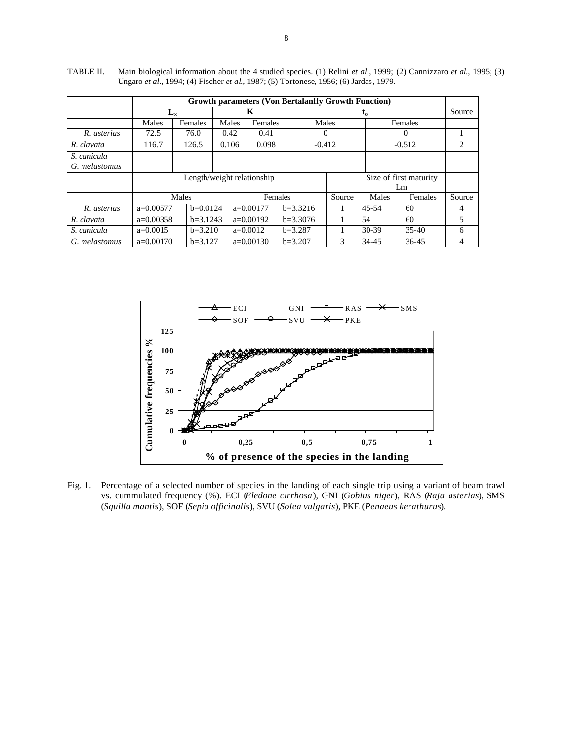|               | <b>Growth parameters (Von Bertalanffy Growth Function)</b> |            |         |             |         |             |          |           |           |        |
|---------------|------------------------------------------------------------|------------|---------|-------------|---------|-------------|----------|-----------|-----------|--------|
|               | Ly                                                         |            |         |             | K       |             | $t_{o}$  |           |           | Source |
|               | Males                                                      | Females    | Males   |             | Females |             | Males    | Females   |           |        |
| R. asterias   | 72.5                                                       | 76.0       | 0.42    |             | 0.41    |             | O        |           | 0         |        |
| R. clavata    | 116.7                                                      | 126.5      | 0.106   |             | 0.098   |             | $-0.412$ | $-0.512$  |           | 2      |
| S. canicula   |                                                            |            |         |             |         |             |          |           |           |        |
| G. melastomus |                                                            |            |         |             |         |             |          |           |           |        |
|               | Length/weight relationship<br>Size of first maturity       |            |         |             |         |             |          |           |           |        |
|               | Lm                                                         |            |         |             |         |             |          |           |           |        |
|               |                                                            | Males      | Females |             |         |             | Source   | Males     | Females   | Source |
| R. asterias   | $a=0.00577$                                                | $b=0.0124$ |         | $a=0.00177$ |         | $b=3.3216$  |          | $45 - 54$ | 60        | 4      |
| R. clavata    | $a=0.00358$                                                | $b=3.1243$ |         | $a=0.00192$ |         | $b=3.3076$  |          | 54        | 60        | 5      |
| S. canicula   | $a=0.0015$                                                 | $b=3.210$  |         | $a=0.0012$  |         | $h = 3.287$ |          | $30-39$   | $35-40$   | 6      |
| G. melastomus | $a=0.00170$                                                | $b=3.127$  |         | $a=0.00130$ |         | $b=3.207$   | 3        | 34-45     | $36 - 45$ | 4      |

TABLE II. Main biological information about the 4 studied species. (1) Relini *et al*., 1999; (2) Cannizzaro *et al*., 1995; (3) Ungaro *et al*., 1994; (4) Fischer *et al*., 1987; (5) Tortonese, 1956; (6) Jardas, 1979.



Fig. 1. Percentage of a selected number of species in the landing of each single trip using a variant of beam trawl vs. cummulated frequency (%). ECI (*Eledone cirrhosa*), GNI (*Gobius niger*), RAS (*Raja asterias*), SMS (*Squilla mantis*), SOF (*Sepia officinalis*), SVU (*Solea vulgaris*), PKE (*Penaeus kerathurus*).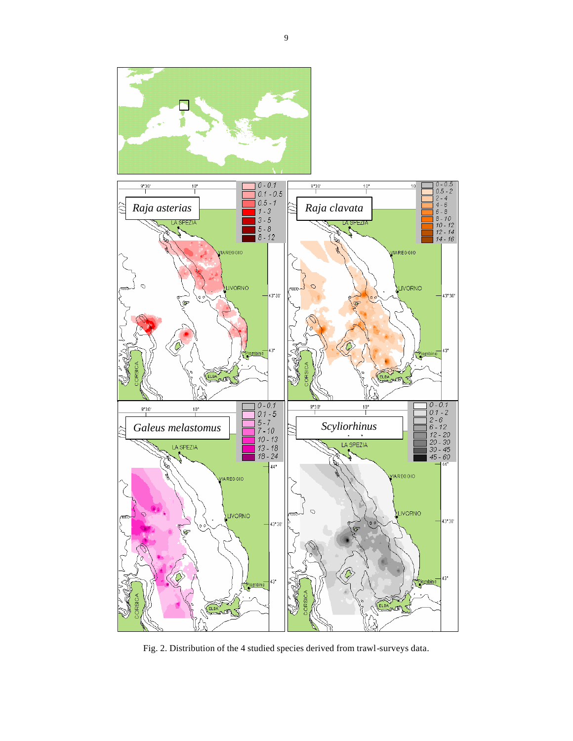



Fig. 2. Distribution of the 4 studied species derived from trawl-surveys data.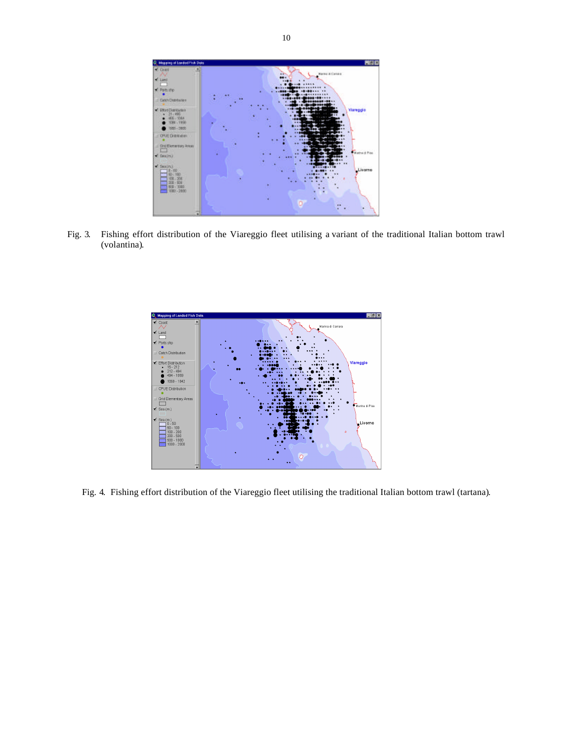

Fig. 3. Fishing effort distribution of the Viareggio fleet utilising a variant of the traditional Italian bottom trawl (volantina).



Fig. 4. Fishing effort distribution of the Viareggio fleet utilising the traditional Italian bottom trawl (tartana).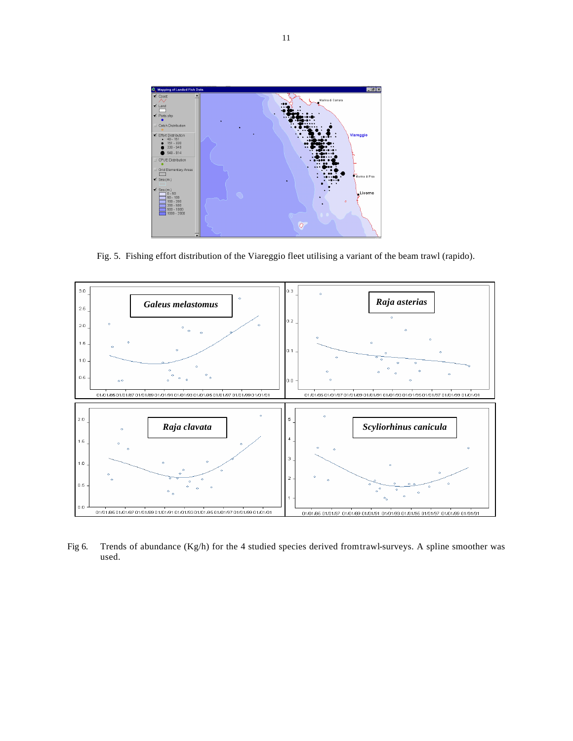

Fig. 5. Fishing effort distribution of the Viareggio fleet utilising a variant of the beam trawl (rapido).



Fig 6. Trends of abundance (Kg/h) for the 4 studied species derived from trawl-surveys. A spline smoother was used.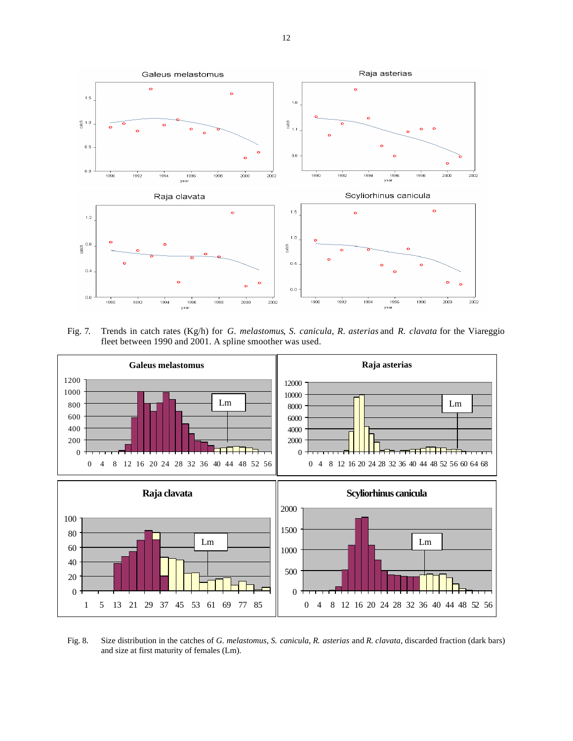

Fig. 7. Trends in catch rates (Kg/h) for *G. melastomus*, *S. canicula*, *R. asterias* and *R. clavata* for the Viareggio fleet between 1990 and 2001. A spline smoother was used.



Fig. 8. Size distribution in the catches of *G. melastomus*, *S. canicula*, *R. asterias* and *R. clavata*, discarded fraction (dark bars) and size at first maturity of females (Lm).